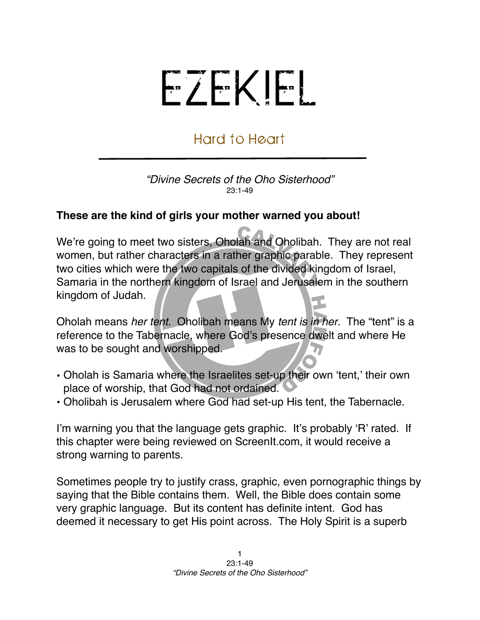## EZEKIEL

## Hard to Heart

*"Divine Secrets of the Oho Sisterhood"* 23:1-49

## **These are the kind of girls your mother warned you about!**

We're going to meet two sisters, Oholah and Oholibah. They are not real women, but rather characters in a rather graphic parable. They represent two cities which were the two capitals of the divided kingdom of Israel, Samaria in the northern kingdom of Israel and Jerusalem in the southern kingdom of Judah.

Oholah means *her tent*. Oholibah means My *tent is in her*. The "tent" is a reference to the Tabernacle, where God's presence dwelt and where He was to be sought and worshipped.

- Oholah is Samaria where the Israelites set-up their own ʻtent,' their own place of worship, that God had not ordained.
- Oholibah is Jerusalem where God had set-up His tent, the Tabernacle.

I'm warning you that the language gets graphic. It's probably ʻR' rated. If this chapter were being reviewed on ScreenIt.com, it would receive a strong warning to parents.

Sometimes people try to justify crass, graphic, even pornographic things by saying that the Bible contains them. Well, the Bible does contain some very graphic language. But its content has definite intent. God has deemed it necessary to get His point across. The Holy Spirit is a superb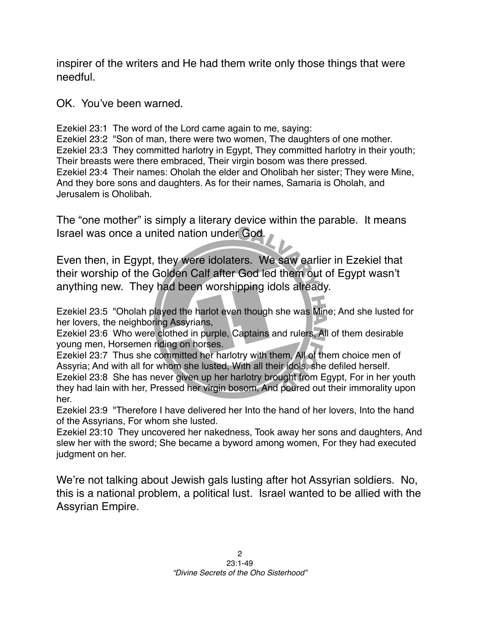inspirer of the writers and He had them write only those things that were needful.

OK. You've been warned.

Ezekiel 23:1 The word of the Lord came again to me, saying:

Ezekiel 23:2 "Son of man, there were two women, The daughters of one mother. Ezekiel 23:3 They committed harlotry in Egypt, They committed harlotry in their youth; Their breasts were there embraced, Their virgin bosom was there pressed. Ezekiel 23:4 Their names: Oholah the elder and Oholibah her sister; They were Mine, And they bore sons and daughters. As for their names, Samaria is Oholah, and Jerusalem is Oholibah.

The "one mother" is simply a literary device within the parable. It means Israel was once a united nation under God.

Even then, in Egypt, they were idolaters. We saw earlier in Ezekiel that their worship of the Golden Calf after God led them out of Egypt wasn't anything new. They had been worshipping idols already.

Ezekiel 23:5 "Oholah played the harlot even though she was Mine; And she lusted for her lovers, the neighboring Assyrians,

Ezekiel 23:6 Who were clothed in purple, Captains and rulers, All of them desirable young men, Horsemen riding on horses.

Ezekiel 23:7 Thus she committed her harlotry with them, All of them choice men of Assyria; And with all for whom she lusted, With all their idols, she defiled herself. Ezekiel 23:8 She has never given up her harlotry brought from Egypt, For in her youth they had lain with her, Pressed her virgin bosom, And poured out their immorality upon her.

Ezekiel 23:9 "Therefore I have delivered her Into the hand of her lovers, Into the hand of the Assyrians, For whom she lusted.

Ezekiel 23:10 They uncovered her nakedness, Took away her sons and daughters, And slew her with the sword; She became a byword among women, For they had executed judgment on her.

We're not talking about Jewish gals lusting after hot Assyrian soldiers. No, this is a national problem, a political lust. Israel wanted to be allied with the Assyrian Empire.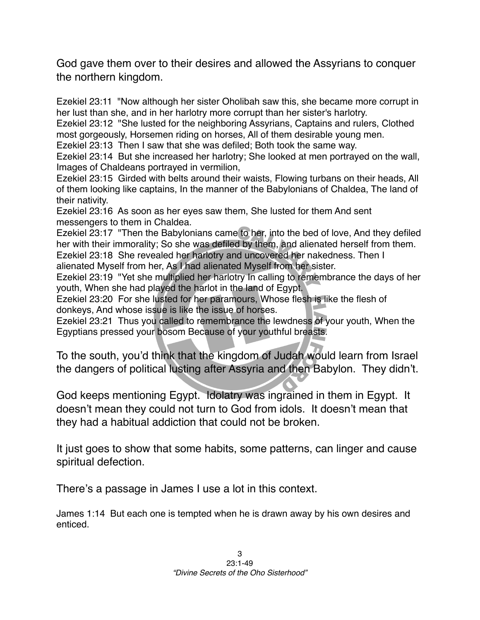God gave them over to their desires and allowed the Assyrians to conquer the northern kingdom.

Ezekiel 23:11 "Now although her sister Oholibah saw this, she became more corrupt in her lust than she, and in her harlotry more corrupt than her sister's harlotry.

Ezekiel 23:12 "She lusted for the neighboring Assyrians, Captains and rulers, Clothed most gorgeously, Horsemen riding on horses, All of them desirable young men.

Ezekiel 23:13 Then I saw that she was defiled; Both took the same way.

Ezekiel 23:14 But she increased her harlotry; She looked at men portrayed on the wall, Images of Chaldeans portrayed in vermilion,

Ezekiel 23:15 Girded with belts around their waists, Flowing turbans on their heads, All of them looking like captains, In the manner of the Babylonians of Chaldea, The land of their nativity.

Ezekiel 23:16 As soon as her eyes saw them, She lusted for them And sent messengers to them in Chaldea.

Ezekiel 23:17 "Then the Babylonians came to her, into the bed of love, And they defiled her with their immorality; So she was defiled by them, and alienated herself from them. Ezekiel 23:18 She revealed her harlotry and uncovered her nakedness. Then I alienated Myself from her, As I had alienated Myself from her sister.

Ezekiel 23:19 "Yet she multiplied her harlotry In calling to remembrance the days of her youth, When she had played the harlot in the land of Egypt.

Ezekiel 23:20 For she lusted for her paramours, Whose flesh is like the flesh of donkeys, And whose issue is like the issue of horses.

Ezekiel 23:21 Thus you called to remembrance the lewdness of your youth, When the Egyptians pressed your bosom Because of your youthful breasts.

To the south, you'd think that the kingdom of Judah would learn from Israel the dangers of political lusting after Assyria and then Babylon. They didn't.

God keeps mentioning Egypt. Idolatry was ingrained in them in Egypt. It doesn't mean they could not turn to God from idols. It doesn't mean that they had a habitual addiction that could not be broken.

It just goes to show that some habits, some patterns, can linger and cause spiritual defection.

There's a passage in James I use a lot in this context.

James 1:14 But each one is tempted when he is drawn away by his own desires and enticed.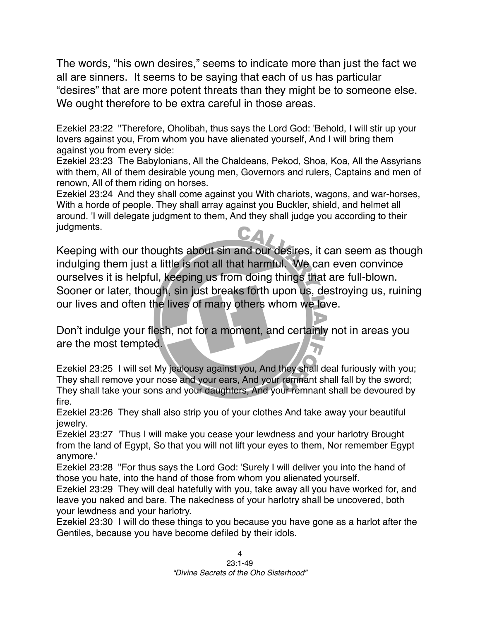The words, "his own desires," seems to indicate more than just the fact we all are sinners. It seems to be saying that each of us has particular "desires" that are more potent threats than they might be to someone else. We ought therefore to be extra careful in those areas.

Ezekiel 23:22 "Therefore, Oholibah, thus says the Lord God: 'Behold, I will stir up your lovers against you, From whom you have alienated yourself, And I will bring them against you from every side:

Ezekiel 23:23 The Babylonians, All the Chaldeans, Pekod, Shoa, Koa, All the Assyrians with them, All of them desirable young men, Governors and rulers, Captains and men of renown, All of them riding on horses.

Ezekiel 23:24 And they shall come against you With chariots, wagons, and war-horses, With a horde of people. They shall array against you Buckler, shield, and helmet all around. 'I will delegate judgment to them, And they shall judge you according to their judgments.

Keeping with our thoughts about sin and our desires, it can seem as though indulging them just a little is not all that harmful. We can even convince ourselves it is helpful, keeping us from doing things that are full-blown. Sooner or later, though, sin just breaks forth upon us, destroying us, ruining our lives and often the lives of many others whom we love.

Don't indulge your flesh, not for a moment, and certainly not in areas you are the most tempted.

Ezekiel 23:25 I will set My jealousy against you, And they shall deal furiously with you; They shall remove your nose and your ears, And your remnant shall fall by the sword; They shall take your sons and your daughters, And your remnant shall be devoured by fire.

Ezekiel 23:26 They shall also strip you of your clothes And take away your beautiful jewelry.

Ezekiel 23:27 'Thus I will make you cease your lewdness and your harlotry Brought from the land of Egypt, So that you will not lift your eyes to them, Nor remember Egypt anymore.'

Ezekiel 23:28 "For thus says the Lord God: 'Surely I will deliver you into the hand of those you hate, into the hand of those from whom you alienated yourself.

Ezekiel 23:29 They will deal hatefully with you, take away all you have worked for, and leave you naked and bare. The nakedness of your harlotry shall be uncovered, both your lewdness and your harlotry.

Ezekiel 23:30 I will do these things to you because you have gone as a harlot after the Gentiles, because you have become defiled by their idols.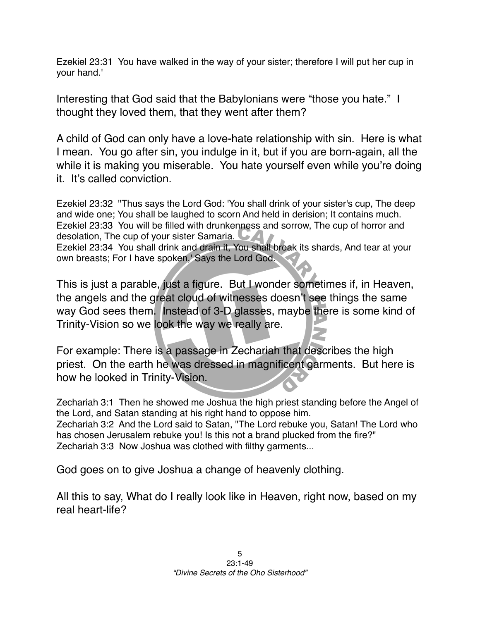Ezekiel 23:31 You have walked in the way of your sister; therefore I will put her cup in your hand.'

Interesting that God said that the Babylonians were "those you hate." I thought they loved them, that they went after them?

A child of God can only have a love-hate relationship with sin. Here is what I mean. You go after sin, you indulge in it, but if you are born-again, all the while it is making you miserable. You hate yourself even while you're doing it. It's called conviction.

Ezekiel 23:32 "Thus says the Lord God: 'You shall drink of your sister's cup, The deep and wide one; You shall be laughed to scorn And held in derision; It contains much. Ezekiel 23:33 You will be filled with drunkenness and sorrow, The cup of horror and desolation, The cup of your sister Samaria.

Ezekiel 23:34 You shall drink and drain it, You shall break its shards, And tear at your own breasts; For I have spoken,' Says the Lord God.

This is just a parable, just a figure. But I wonder sometimes if, in Heaven, the angels and the great cloud of witnesses doesn't see things the same way God sees them. Instead of 3-D glasses, maybe there is some kind of Trinity-Vision so we look the way we really are.

For example: There is a passage in Zechariah that describes the high priest. On the earth he was dressed in magnificent garments. But here is how he looked in Trinity-Vision.

Zechariah 3:1 Then he showed me Joshua the high priest standing before the Angel of the Lord, and Satan standing at his right hand to oppose him. Zechariah 3:2 And the Lord said to Satan, "The Lord rebuke you, Satan! The Lord who has chosen Jerusalem rebuke you! Is this not a brand plucked from the fire?" Zechariah 3:3 Now Joshua was clothed with filthy garments...

God goes on to give Joshua a change of heavenly clothing.

All this to say, What do I really look like in Heaven, right now, based on my real heart-life?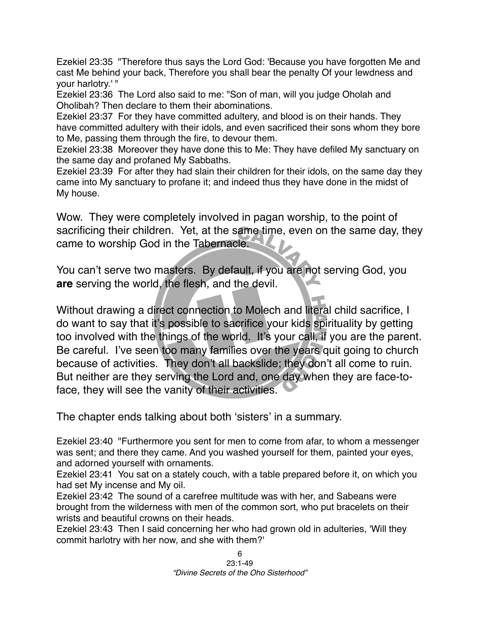Ezekiel 23:35 "Therefore thus says the Lord God: 'Because you have forgotten Me and cast Me behind your back, Therefore you shall bear the penalty Of your lewdness and your harlotry.' "

Ezekiel 23:36 The Lord also said to me: "Son of man, will you judge Oholah and Oholibah? Then declare to them their abominations.

Ezekiel 23:37 For they have committed adultery, and blood is on their hands. They have committed adultery with their idols, and even sacrificed their sons whom they bore to Me, passing them through the fire, to devour them.

Ezekiel 23:38 Moreover they have done this to Me: They have defiled My sanctuary on the same day and profaned My Sabbaths.

Ezekiel 23:39 For after they had slain their children for their idols, on the same day they came into My sanctuary to profane it; and indeed thus they have done in the midst of My house.

Wow. They were completely involved in pagan worship, to the point of sacrificing their children. Yet, at the same time, even on the same day, they came to worship God in the Tabernacle.

You can't serve two masters. By default, if you are not serving God, you **are** serving the world, the flesh, and the devil.

Without drawing a direct connection to Molech and literal child sacrifice, I do want to say that it's possible to sacrifice your kids spirituality by getting too involved with the things of the world. It's your call, if you are the parent. Be careful. I've seen too many families over the years quit going to church because of activities. They don't all backslide; they don't all come to ruin. But neither are they serving the Lord and, one day when they are face-toface, they will see the vanity of their activities.

The chapter ends talking about both ʻsisters' in a summary.

Ezekiel 23:40 "Furthermore you sent for men to come from afar, to whom a messenger was sent; and there they came. And you washed yourself for them, painted your eyes, and adorned yourself with ornaments.

Ezekiel 23:41 You sat on a stately couch, with a table prepared before it, on which you had set My incense and My oil.

Ezekiel 23:42 The sound of a carefree multitude was with her, and Sabeans were brought from the wilderness with men of the common sort, who put bracelets on their wrists and beautiful crowns on their heads.

Ezekiel 23:43 Then I said concerning her who had grown old in adulteries, 'Will they commit harlotry with her now, and she with them?'